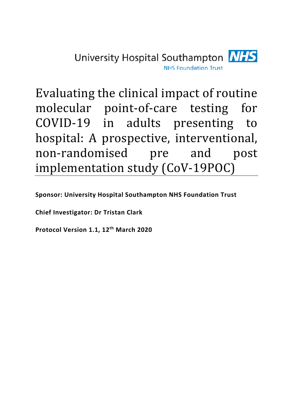

Evaluating the clinical impact of routine molecular point-of-care testing COVID-19 in adults presenting to hospital: A prospective, interventional, non-randomised pre and post implementation study (CoV-19POC)

**Sponsor: University Hospital Southampton NHS Foundation Trust**

**Chief Investigator: Dr Tristan Clark**

**Protocol Version 1.1, 12th March 2020**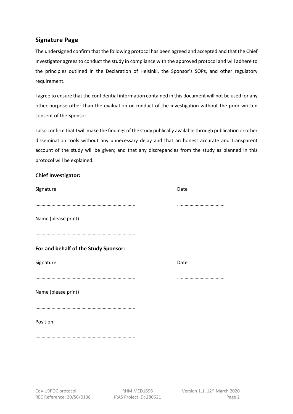## <span id="page-1-0"></span>**Signature Page**

The undersigned confirm that the following protocol has been agreed and accepted and that the Chief Investigator agrees to conduct the study in compliance with the approved protocol and will adhere to the principles outlined in the Declaration of Helsinki, the Sponsor's SOPs, and other regulatory requirement.

I agree to ensure that the confidential information contained in this document will not be used for any other purpose other than the evaluation or conduct of the investigation without the prior written consent of the Sponsor

I also confirm that I will make the findings of the study publically available through publication or other dissemination tools without any unnecessary delay and that an honest accurate and transparent account of the study will be given; and that any discrepancies from the study as planned in this protocol will be explained.

### <span id="page-1-1"></span>**Chief Investigator:**

<span id="page-1-2"></span>

| Signature                            | Date |
|--------------------------------------|------|
|                                      |      |
| Name (please print)                  |      |
|                                      |      |
| For and behalf of the Study Sponsor: |      |
| Signature                            | Date |
|                                      |      |
| Name (please print)                  |      |
|                                      |      |
| Position                             |      |
|                                      |      |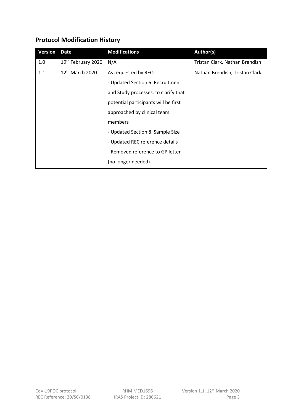# <span id="page-2-0"></span>**Protocol Modification History**

| <b>Version</b> | Date                           | <b>Modifications</b>                 | Author(s)                      |
|----------------|--------------------------------|--------------------------------------|--------------------------------|
| 1.0            | 19 <sup>th</sup> February 2020 | N/A                                  | Tristan Clark, Nathan Brendish |
| 1.1            | $12th$ March 2020              | As requested by REC:                 | Nathan Brendish, Tristan Clark |
|                |                                | - Updated Section 6. Recruitment     |                                |
|                |                                | and Study processes, to clarify that |                                |
|                |                                | potential participants will be first |                                |
|                |                                | approached by clinical team          |                                |
|                |                                | members                              |                                |
|                |                                | - Updated Section 8. Sample Size     |                                |
|                |                                | - Updated REC reference details      |                                |
|                |                                | - Removed reference to GP letter     |                                |
|                |                                | (no longer needed)                   |                                |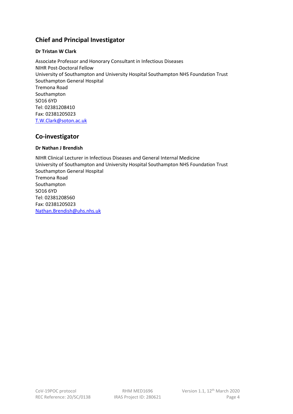## <span id="page-3-0"></span>**Chief and Principal Investigator**

### **Dr Tristan W Clark**

<span id="page-3-2"></span>Associate Professor and Honorary Consultant in Infectious Diseases NIHR Post-Doctoral Fellow University of Southampton and University Hospital Southampton NHS Foundation Trust Southampton General Hospital Tremona Road Southampton SO16 6YD Tel: 02381208410 Fax: 02381205023 [T.W.Clark@soton.ac.uk](mailto:T.W.Clark@soton.ac.uk)

# <span id="page-3-4"></span><span id="page-3-3"></span><span id="page-3-1"></span>**Co-investigator**

### <span id="page-3-5"></span>**Dr Nathan J Brendish**

<span id="page-3-13"></span><span id="page-3-12"></span><span id="page-3-11"></span><span id="page-3-10"></span><span id="page-3-9"></span><span id="page-3-8"></span><span id="page-3-7"></span><span id="page-3-6"></span>NIHR Clinical Lecturer in Infectious Diseases and General Internal Medicine University of Southampton and University Hospital Southampton NHS Foundation Trust Southampton General Hospital Tremona Road Southampton SO16 6YD Tel: 02381208560 Fax: 02381205023 [Nathan.Brendish@uhs.nhs.uk](mailto:Nathan.Brendish@uhs.nhs.uk)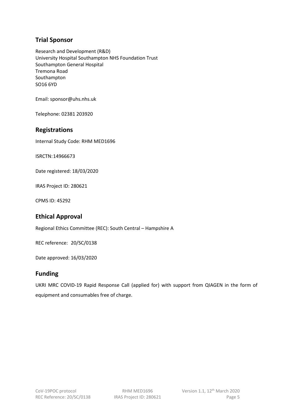## <span id="page-4-0"></span>**Trial Sponsor**

Research and Development (R&D) University Hospital Southampton NHS Foundation Trust Southampton General Hospital Tremona Road Southampton SO16 6YD

Email: sponsor@uhs.nhs.uk

Telephone: 02381 203920

### <span id="page-4-1"></span>**Registrations**

Internal Study Code: RHM MED1696

ISRCTN:14966673

Date registered: 18/03/2020

IRAS Project ID: 280621

CPMS ID: 45292

## <span id="page-4-2"></span>**Ethical Approval**

Regional Ethics Committee (REC): South Central – Hampshire A

REC reference: 20/SC/0138

Date approved: 16/03/2020

### <span id="page-4-3"></span>**Funding**

UKRI MRC COVID-19 Rapid Response Call (applied for) with support from QIAGEN in the form of equipment and consumables free of charge.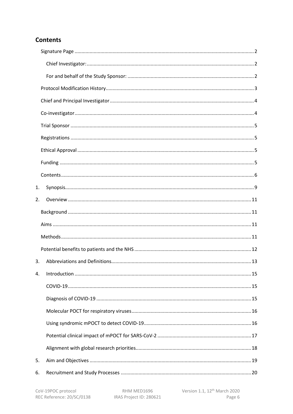## <span id="page-5-0"></span>**Contents**

| 1. |  |
|----|--|
| 2. |  |
|    |  |
|    |  |
|    |  |
|    |  |
| 3. |  |
| 4. |  |
|    |  |
|    |  |
|    |  |
|    |  |
|    |  |
|    |  |
| 5. |  |
| 6. |  |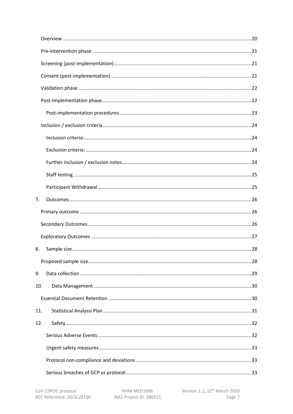| 7.  |  |
|-----|--|
|     |  |
|     |  |
|     |  |
| 8.  |  |
|     |  |
| 9.  |  |
| 10. |  |
|     |  |
| 11. |  |
| 12. |  |
|     |  |
|     |  |
|     |  |
|     |  |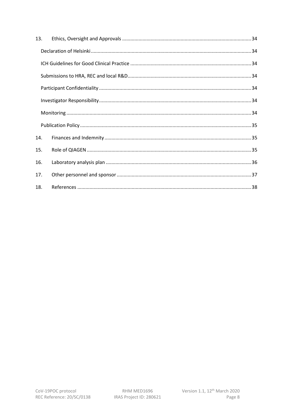| 13. |  |
|-----|--|
|     |  |
|     |  |
|     |  |
|     |  |
|     |  |
|     |  |
|     |  |
| 14. |  |
| 15. |  |
| 16. |  |
| 17. |  |
| 18. |  |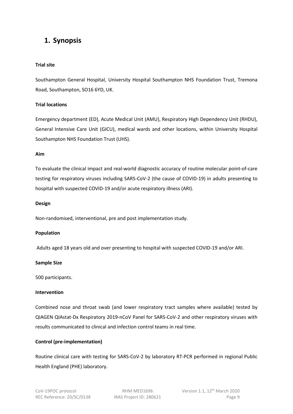# <span id="page-8-0"></span>**1. Synopsis**

#### **Trial site**

Southampton General Hospital, University Hospital Southampton NHS Foundation Trust, Tremona Road, Southampton, SO16 6YD, UK.

#### **Trial locations**

Emergency department (ED), Acute Medical Unit (AMU), Respiratory High Dependency Unit (RHDU), General Intensive Care Unit (GICU), medical wards and other locations, within University Hospital Southampton NHS Foundation Trust (UHS).

#### **Aim**

To evaluate the clinical impact and real-world diagnostic accuracy of routine molecular point-of-care testing for respiratory viruses including SARS-CoV-2 (the cause of COVID-19) in adults presenting to hospital with suspected COVID-19 and/or acute respiratory illness (ARI).

#### **Design**

Non-randomised, interventional, pre and post implementation study.

#### **Population**

Adults aged 18 years old and over presenting to hospital with suspected COVID-19 and/or ARI.

#### **Sample Size**

500 participants.

#### **Intervention**

Combined nose and throat swab (and lower respiratory tract samples where available) tested by QIAGEN QIAstat-Dx Respiratory 2019-nCoV Panel for SARS-CoV-2 and other respiratory viruses with results communicated to clinical and infection control teams in real time.

### **Control (pre-implementation)**

Routine clinical care with testing for SARS-CoV-2 by laboratory RT-PCR performed in regional Public Health England (PHE) laboratory.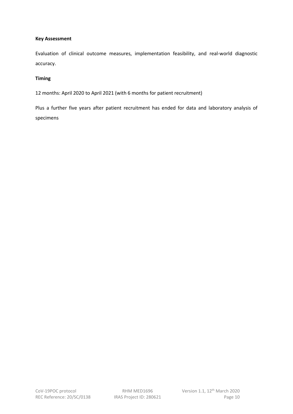#### **Key Assessment**

Evaluation of clinical outcome measures, implementation feasibility, and real-world diagnostic accuracy.

### **Timing**

12 months: April 2020 to April 2021 (with 6 months for patient recruitment)

Plus a further five years after patient recruitment has ended for data and laboratory analysis of specimens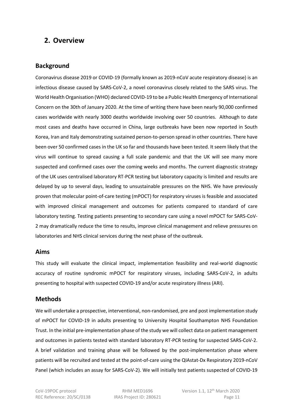## <span id="page-10-0"></span>**2. Overview**

### <span id="page-10-1"></span>**Background**

Coronavirus disease 2019 or COVID-19 (formally known as 2019-nCoV acute respiratory disease) is an infectious disease caused by SARS-CoV-2, a novel coronavirus closely related to the SARS virus. The World Health Organisation (WHO) declared COVID-19 to be a Public Health Emergency of International Concern on the 30th of January 2020. At the time of writing there have been nearly 90,000 confirmed cases worldwide with nearly 3000 deaths worldwide involving over 50 countries. Although to date most cases and deaths have occurred in China, large outbreaks have been now reported in South Korea, Iran and Italy demonstrating sustained person-to-person spread in other countries. There have been over 50 confirmed cases in the UK so far and thousands have been tested. It seem likely that the virus will continue to spread causing a full scale pandemic and that the UK will see many more suspected and confirmed cases over the coming weeks and months. The current diagnostic strategy of the UK uses centralised laboratory RT-PCR testing but laboratory capacity is limited and results are delayed by up to several days, leading to unsustainable pressures on the NHS. We have previously proven that molecular point-of-care testing (mPOCT) for respiratory viruses is feasible and associated with improved clinical management and outcomes for patients compared to standard of care laboratory testing. Testing patients presenting to secondary care using a novel mPOCT for SARS-CoV-2 may dramatically reduce the time to results, improve clinical management and relieve pressures on laboratories and NHS clinical services during the next phase of the outbreak.

### <span id="page-10-2"></span>**Aims**

This study will evaluate the clinical impact, implementation feasibility and real-world diagnostic accuracy of routine syndromic mPOCT for respiratory viruses, including SARS-CoV-2, in adults presenting to hospital with suspected COVID-19 and/or acute respiratory illness (ARI).

### <span id="page-10-3"></span>**Methods**

We will undertake a prospective, interventional, non-randomised, pre and post implementation study of mPOCT for COVID-19 in adults presenting to University Hospital Southampton NHS Foundation Trust. In the initial pre-implementation phase of the study we will collect data on patient management and outcomes in patients tested with standard laboratory RT-PCR testing for suspected SARS-CoV-2. A brief validation and training phase will be followed by the post-implementation phase where patients will be recruited and tested at the point-of-care using the QIAstat-Dx Respiratory 2019-nCoV Panel (which includes an assay for SARS-CoV-2). We will initially test patients suspected of COVID-19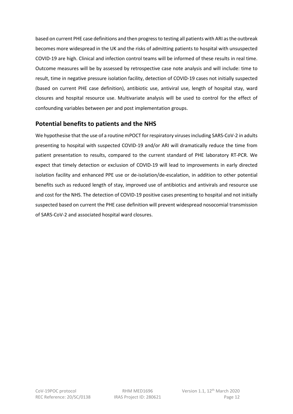based on current PHE case definitions and then progressto testing all patients with ARI as the outbreak becomes more widespread in the UK and the risks of admitting patients to hospital with unsuspected COVID-19 are high. Clinical and infection control teams will be informed of these results in real time. Outcome measures will be by assessed by retrospective case note analysis and will include: time to result, time in negative pressure isolation facility, detection of COVID-19 cases not initially suspected (based on current PHE case definition), antibiotic use, antiviral use, length of hospital stay, ward closures and hospital resource use. Multivariate analysis will be used to control for the effect of confounding variables between per and post implementation groups.

## <span id="page-11-0"></span>**Potential benefits to patients and the NHS**

We hypothesise that the use of a routine mPOCT for respiratory viruses including SARS-CoV-2 in adults presenting to hospital with suspected COVID-19 and/or ARI will dramatically reduce the time from patient presentation to results, compared to the current standard of PHE laboratory RT-PCR. We expect that timely detection or exclusion of COVID-19 will lead to improvements in early directed isolation facility and enhanced PPE use or de-isolation/de-escalation, in addition to other potential benefits such as reduced length of stay, improved use of antibiotics and antivirals and resource use and cost for the NHS. The detection of COVID-19 positive cases presenting to hospital and not initially suspected based on current the PHE case definition will prevent widespread nosocomial transmission of SARS-CoV-2 and associated hospital ward closures.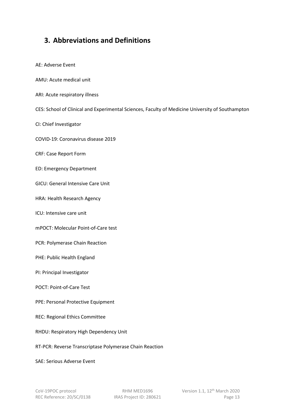# <span id="page-12-0"></span>**3. Abbreviations and Definitions**

AE: Adverse Event AMU: Acute medical unit ARI: Acute respiratory illness CES: School of Clinical and Experimental Sciences, Faculty of Medicine University of Southampton CI: Chief Investigator COVID-19: Coronavirus disease 2019 CRF: Case Report Form ED: Emergency Department GICU: General Intensive Care Unit HRA: Health Research Agency ICU: Intensive care unit mPOCT: Molecular Point-of-Care test PCR: Polymerase Chain Reaction PHE: Public Health England PI: Principal Investigator POCT: Point-of-Care Test PPE: Personal Protective Equipment REC: Regional Ethics Committee RHDU: Respiratory High Dependency Unit RT-PCR: Reverse Transcriptase Polymerase Chain Reaction SAE: Serious Adverse Event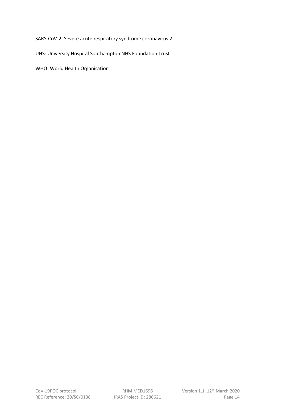SARS-CoV-2: Severe acute respiratory syndrome coronavirus 2

UHS: University Hospital Southampton NHS Foundation Trust

WHO: World Health Organisation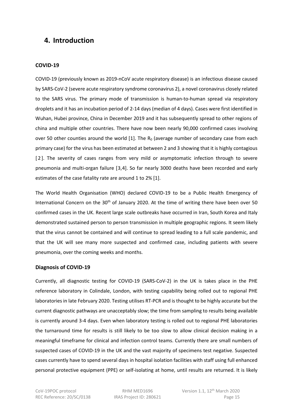## <span id="page-14-0"></span>**4. Introduction**

#### <span id="page-14-1"></span>**COVID-19**

COVID-19 (previously known as 2019-nCoV acute respiratory disease) is an infectious disease caused by SARS-CoV-2 (severe acute respiratory syndrome coronavirus 2), a novel coronavirus closely related to the SARS virus. The primary mode of transmission is human-to-human spread via respiratory droplets and it has an incubation period of 2-14 days (median of 4 days). Cases were first identified in Wuhan, Hubei province, China in December 2019 and it has subsequently spread to other regions of china and multiple other countries. There have now been nearly 90,000 confirmed cases involving over 50 other counties around the world  $[1]$  $[1]$ . The R<sub>0</sub> (average number of secondary case from each primary case) for the virus has been estimated at between 2 and 3 showing that it is highly contagious [[2](#page-3-3)]. The severity of cases ranges from very mild or asymptomatic infection through to severe pneumonia and multi-organ failure [[3](#page-3-4),[4\]](#page-3-5). So far nearly 3000 deaths have been recorded and early estimates of the case fatality rate are around 1 to 2% [1].

The World Health Organisation (WHO) declared COVID-19 to be a Public Health Emergency of International Concern on the 30<sup>th</sup> of January 2020. At the time of writing there have been over 50 confirmed cases in the UK. Recent large scale outbreaks have occurred in Iran, South Korea and Italy demonstrated sustained person to person transmission in multiple geographic regions. It seem likely that the virus cannot be contained and will continue to spread leading to a full scale pandemic, and that the UK will see many more suspected and confirmed case, including patients with severe pneumonia, over the coming weeks and months.

#### <span id="page-14-2"></span>**Diagnosis of COVID-19**

Currently, all diagnostic testing for COVID-19 (SARS-CoV-2) in the UK is takes place in the PHE reference laboratory in Colindale, London, with testing capability being rolled out to regional PHE laboratories in late February 2020. Testing utilises RT-PCR and is thought to be highly accurate but the current diagnostic pathways are unacceptably slow; the time from sampling to results being available is currently around 3-4 days. Even when laboratory testing is rolled out to regional PHE laboratories the turnaround time for results is still likely to be too slow to allow clinical decision making in a meaningful timeframe for clinical and infection control teams. Currently there are small numbers of suspected cases of COVID-19 in the UK and the vast majority of specimens test negative. Suspected cases currently have to spend several days in hospital isolation facilities with staff using full enhanced personal protective equipment (PPE) or self-isolating at home, until results are returned. It is likely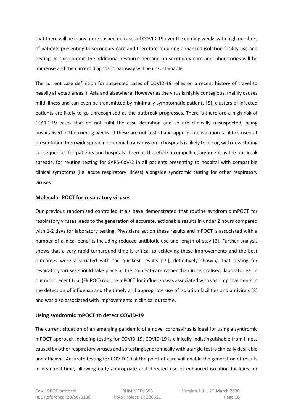that there will be many more suspected cases of COVID-19 over the coming weeks with high numbers of patients presenting to secondary care and therefore requiring enhanced isolation facility use and testing. In this context the additional resource demand on secondary care and laboratories will be immense and the current diagnostic pathway will be unsustainable.

The current case definition for suspected cases of COVID-19 relies on a recent history of travel to heavily affected areas in Asia and elsewhere. However as the virus is highly contagious, mainly causes mild illness and can even be transmitted by minimally symptomatic patients [[5](#page-3-6)], clusters of infected patients are likely to go unrecognised as the outbreak progresses. There is therefore a high risk of COVID-19 cases that do not fulfil the case definition and so are clinically unsuspected, being hospitalised in the coming weeks. If these are not tested and appropriate isolation facilities used at presentation then widespread nosocomial transmission in hospitals is likely to occur, with devastating consequences for patients and hospitals. There is therefore a compelling argument as the outbreak spreads, for routine testing for SARS-CoV-2 in all patients presenting to hospital with compatible clinical symptoms (i.e. acute respiratory illness) alongside syndromic testing for other respiratory viruses.

### <span id="page-15-0"></span>**Molecular POCT for respiratory viruses**

Our previous randomised controlled trials have demonstrated that routine syndromic mPOCT for respiratory viruses leads to the generation of accurate, actionable results in under 2 hours compared with 1-2 days for laboratory testing. Physicians act on these results and mPOCT is associated with a number of clinical benefits including reduced antibiotic use and length of stay [[6\]](#page-3-7). Further analysis shows that a very rapid turnaround time is critical to achieving these improvements and the best outcomes were associated with the quickest results [ [7](#page-3-8) ], definitively showing that testing for respiratory viruses should take place at the point-of-care rather than in centralised laboratories. In our most recent trial (FluPOC) routine mPOCT for influenza was associated with vast improvements in the detection of influenza and the timely and appropriate use of isolation facilities and antivirals [\[8](#page-3-9)] and was also associated with improvements in clinical outcome.

### <span id="page-15-1"></span>**Using syndromic mPOCT to detect COVID-19**

The current situation of an emerging pandemic of a novel coronavirus is ideal for using a syndromic mPOCT approach including testing for COVID-19. COVID-19 is clinically indistinguishable from illness caused by other respiratory viruses and so testing syndromically with a single test is clinically desirable and efficient. Accurate testing for COVID-19 at the point-of-care will enable the generation of results in near real-time, allowing early appropriate and directed use of enhanced isolation facilities for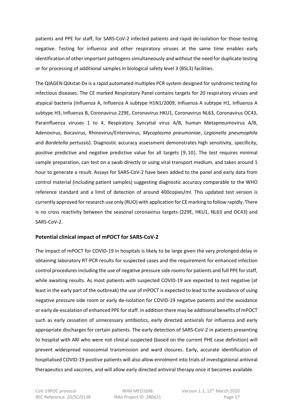patients and PPE for staff, for SARS-CoV-2 infected patients and rapid de-isolation for those testing negative. Testing for influenza and other respiratory viruses at the same time enables early identification of other important pathogens simultaneously and without the need for duplicate testing or for processing of additional samples in biological safety level 3 (BSL3) facilities.

The QIAGEN QIAstat-Dx is a rapid automated multiplex PCR system designed for syndromic testing for infectious diseases. The CE marked Respiratory Panel contains targets for 20 respiratory viruses and atypical bacteria (Influenza A, Influenza A subtype H1N1/2009, Influenza A subtype H1, Influenza A subtype H3, Influenza B, Coronavirus 229E, Coronavirus HKU1, Coronavirus NL63, Coronavirus OC43, Parainfluenza viruses 1 to 4, Respiratory Syncytial virus A/B, human Metapneumovirus A/B, Adenovirus, Bocavirus, Rhinovirus/Enterovirus, *Mycoplasma pneumoniae*, *Legionella pneumophila* and *Bordetella pertussis*). Diagnostic accuracy assessment demonstrates high sensitivity, specificity, positive predictive and negative predictive value for all targets [[9](#page-3-10),[10](#page-3-11)]. The test requires minimal sample preparation, can test on a swab directly or using viral transport medium, and takes around 1 hour to generate a result. Assays for SARS-CoV-2 have been added to the panel and early data from control material (including patient samples) suggesting diagnostic accuracy comparable to the WHO reference standard and a limit of detection of around 400copies/ml. This updated test version is currently approved for research use only (RUO) with application for CE marking to follow rapidly. There is no cross reactivity between the seasonal coronavirus targets (229E, HKU1, NL63 and OC43) and SARS-CoV-2.

### <span id="page-16-0"></span>**Potential clinical impact of mPOCT for SARS-CoV-2**

The impact of mPOCT for COVID-19 in hospitals is likely to be large given the very prolonged delay in obtaining laboratory RT-PCR results for suspected cases and the requirement for enhanced infection control procedures including the use of negative pressure side rooms for patients and full PPE for staff, while awaiting results. As most patients with suspected COVID-19 are expected to test negative (at least in the early part of the outbreak) the use of mPOCT is expected to lead to the avoidance of using negative pressure side room or early de-isolation for COVID-19 negative patients and the avoidance or early de-escalation of enhanced PPE for staff. In addition there may be additional benefits of mPOCT such as early cessation of unnecessary antibiotics, early directed antivirals for influenza and early appropriate discharges for certain patients. The early detection of SARS-CoV-2 in patients presenting to hospital with ARI who were not clinical suspected (based on the current PHE case definition) will prevent widespread nosocomial transmission and ward closures. Early, accurate identification of hospitalised COVID-19 positive patients will also allow enrolment into trials of investigational antiviral therapeutics and vaccines, and will allow early directed antiviral therapy once it becomes available.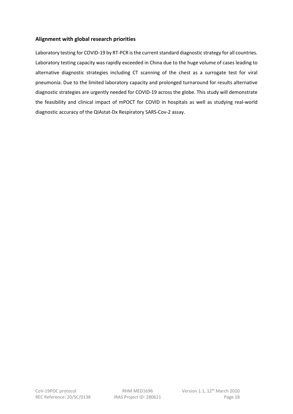### <span id="page-17-0"></span>**Alignment with global research priorities**

Laboratory testing for COVID-19 by RT-PCR is the current standard diagnostic strategy for all countries. Laboratory testing capacity was rapidly exceeded in China due to the huge volume of cases leading to alternative diagnostic strategies including CT scanning of the chest as a surrogate test for viral pneumonia. Due to the limited laboratory capacity and prolonged turnaround for results alternative diagnostic strategies are urgently needed for COVID-19 across the globe. This study will demonstrate the feasibility and clinical impact of mPOCT for COVID in hospitals as well as studying real-world diagnostic accuracy of the QIAstat-Dx Respiratory SARS-Cov-2 assay.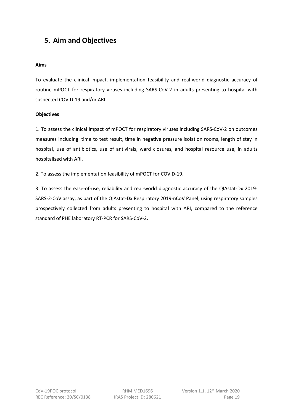# <span id="page-18-0"></span>**5. Aim and Objectives**

#### **Aims**

To evaluate the clinical impact, implementation feasibility and real-world diagnostic accuracy of routine mPOCT for respiratory viruses including SARS-CoV-2 in adults presenting to hospital with suspected COVID-19 and/or ARI.

#### **Objectives**

1. To assess the clinical impact of mPOCT for respiratory viruses including SARS-CoV-2 on outcomes measures including: time to test result, time in negative pressure isolation rooms, length of stay in hospital, use of antibiotics, use of antivirals, ward closures, and hospital resource use, in adults hospitalised with ARI.

2. To assess the implementation feasibility of mPOCT for COVID-19.

3. To assess the ease-of-use, reliability and real-world diagnostic accuracy of the QIAstat-Dx 2019- SARS-2-CoV assay, as part of the QIAstat-Dx Respiratory 2019-nCoV Panel, using respiratory samples prospectively collected from adults presenting to hospital with ARI, compared to the reference standard of PHE laboratory RT-PCR for SARS-CoV-2.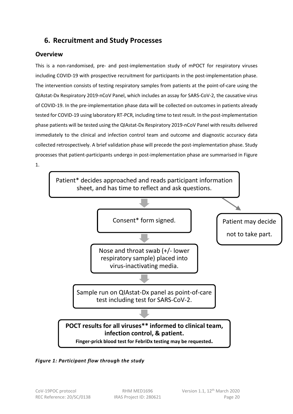# <span id="page-19-0"></span>**6. Recruitment and Study Processes**

## <span id="page-19-1"></span>**Overview**

This is a non-randomised, pre- and post-implementation study of mPOCT for respiratory viruses including COVID-19 with prospective recruitment for participants in the post-implementation phase. The intervention consists of testing respiratory samples from patients at the point-of-care using the QIAstat-Dx Respiratory 2019-nCoV Panel, which includes an assay for SARS-CoV-2, the causative virus of COVID-19. In the pre-implementation phase data will be collected on outcomes in patients already tested for COVID-19 using laboratory RT-PCR, including time to test result. In the post-implementation phase patients will be tested using the QIAstat-Dx Respiratory 2019-nCoV Panel with results delivered immediately to the clinical and infection control team and outcome and diagnostic accuracy data collected retrospectively. A brief validation phase will precede the post-implementation phase. Study processes that patient-participants undergo in post-implementation phase are summarised in Figure 1.



*Figure 1: Participant flow through the study*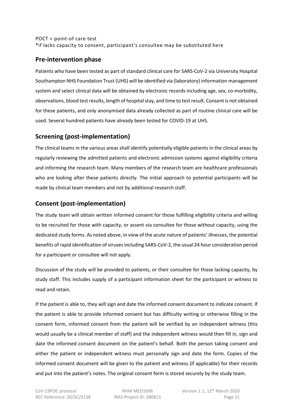### POCT = point-of care test \*if lacks capacity to consent, participant's consultee may be substituted here

## <span id="page-20-0"></span>**Pre-intervention phase**

Patients who have been tested as part of standard clinical care for SARS-CoV-2 via University Hospital Southampton NHS Foundation Trust (UHS) will be identified via (laboratory) information management system and select clinical data will be obtained by electronic records including age, sex, co-morbidity, observations, blood test results, length of hospital stay, and time to test result. Consent is not obtained for these patients, and only anonymised data already collected as part of routine clinical care will be used. Several hundred patients have already been tested for COVID-19 at UHS.

## <span id="page-20-1"></span>**Screening (post-implementation)**

The clinical teams in the various areas shall identify potentially eligible patients in the clinical areas by regularly reviewing the admitted patients and electronic admission systems against eligibility criteria and informing the research team. Many members of the research team are healthcare professionals who are looking after these patients directly. The initial approach to potential participants will be made by clinical team members and not by additional research staff.

## <span id="page-20-2"></span>**Consent (post-implementation)**

The study team will obtain written informed consent for those fulfilling eligibility criteria and willing to be recruited for those with capacity, or assent via consultee for those without capacity, using the dedicated study forms. As noted above, in view of the acute nature of patients' illnesses, the potential benefits of rapid identification of viruses including SARS-CoV-2, the usual 24 hour consideration period for a participant or consultee will not apply.

Discussion of the study will be provided to patients, or their consultee for those lacking capacity, by study staff. This includes supply of a participant information sheet for the participant or witness to read and retain.

If the patient is able to, they will sign and date the informed consent document to indicate consent. If the patient is able to provide informed consent but has difficulty writing or otherwise filling in the consent form, informed consent from the patient will be verified by an independent witness (this would usually be a clinical member of staff) and the independent witness would then fill in, sign and date the informed consent document on the patient's behalf. Both the person taking consent and either the patient or independent witness must personally sign and date the form. Copies of the informed consent document will be given to the patient and witness (if applicable) for their records and put into the patient's notes. The original consent form is stored securely by the study team.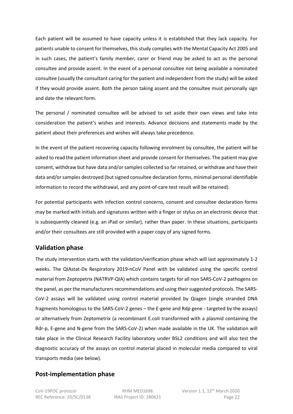Each patient will be assumed to have capacity unless it is established that they lack capacity. For patients unable to consent for themselves, this study complies with the Mental Capacity Act 2005 and in such cases, the patient's family member, carer or friend may be asked to act as the personal consultee and provide assent. In the event of a personal consultee not being available a nominated consultee (usually the consultant caring for the patient and independent from the study) will be asked if they would provide assent. Both the person taking assent and the consultee must personally sign and date the relevant form.

The personal / nominated consultee will be advised to set aside their own views and take into consideration the patient's wishes and interests. Advance decisions and statements made by the patient about their preferences and wishes will always take precedence.

In the event of the patient recovering capacity following enrolment by consultee, the patient will be asked to read the patient information sheet and provide consent for themselves. The patient may give consent, withdraw but have data and/or samples collected so far retained, or withdraw and have their data and/or samples destroyed (but signed consultee declaration forms, minimal personal identifiable information to record the withdrawal, and any point-of-care test result will be retained).

For potential participants with infection control concerns, consent and consultee declaration forms may be marked with initials and signatures written with a finger or stylus on an electronic device that is subsequently cleaned (e.g. an iPad or similar), rather than paper. In these situations, participants and/or their consultees are still provided with a paper copy of any signed forms.

## <span id="page-21-0"></span>**Validation phase**

The study intervention starts with the validation/verification phase which will last approximately 1-2 weeks. The QIAstat-Dx Respiratory 2019-nCoV Panel with be validated using the specific control material from Zeptopetrix (NATRVP-QIA) which contains targets for all non SARS-CoV-2 pathogens on the panel, as per the manufacturers recommendations and using their suggested protocols. The SARS-CoV-2 assays will be validated using control material provided by Qiagen (single stranded DNA fragments homologous to the SARS-CoV-2 genes – the E-gene and Rdp gene - targeted by the assays) or alternatively from Zeptometrix (a recombinant E.coli transformed with a plasmid containing the Rdr-p, E-gene and N-gene from the SARS-CoV-2) when made available in the UK. The validation will take place in the Clinical Research Facility laboratory under BSL2 conditions and will also test the diagnostic accuracy of the assays on control material placed in molecular media compared to viral transports media (see below).

## <span id="page-21-1"></span>**Post-implementation phase**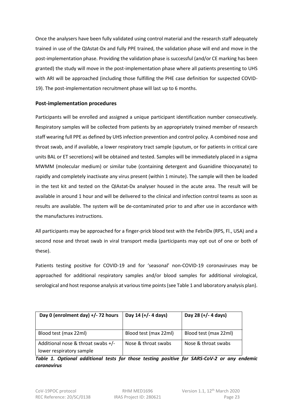Once the analysers have been fully validated using control material and the research staff adequately trained in use of the QIAstat-Dx and fully PPE trained, the validation phase will end and move in the post-implementation phase. Providing the validation phase is successful (and/or CE marking has been granted) the study will move in the post-implementation phase where all patients presenting to UHS with ARI will be approached (including those fulfilling the PHE case definition for suspected COVID-19). The post-implementation recruitment phase will last up to 6 months.

### <span id="page-22-0"></span>**Post-implementation procedures**

Participants will be enrolled and assigned a unique participant identification number consecutively. Respiratory samples will be collected from patients by an appropriately trained member of research staff wearing full PPE as defined by UHS infection prevention and control policy. A combined nose and throat swab, and if available, a lower respiratory tract sample (sputum, or for patients in critical care units BAL or ET secretions) will be obtained and tested. Samples will be immediately placed in a sigma MWMM (molecular medium) or similar tube (containing detergent and Guanidine thiocyanate) to rapidly and completely inactivate any virus present (within 1 minute). The sample will then be loaded in the test kit and tested on the QIAstat-Dx analyser housed in the acute area. The result will be available in around 1 hour and will be delivered to the clinical and infection control teams as soon as results are available. The system will be de-contaminated prior to and after use in accordance with the manufactures instructions.

All participants may be approached for a finger-prick blood test with the FebriDx (RPS, Fl., USA) and a second nose and throat swab in viral transport media (participants may opt out of one or both of these).

Patients testing positive for COVID-19 and for 'seasonal' non-COVID-19 coronaviruses may be approached for additional respiratory samples and/or blood samples for additional virological, serological and host response analysis at various time points (see Table 1 and laboratory analysis plan).

| Day 0 (enrolment day) +/- 72 hours   | Day 14 (+/- 4 days)   | Day 28 (+/- 4 days)   |
|--------------------------------------|-----------------------|-----------------------|
| Blood test (max 22ml)                | Blood test (max 22ml) | Blood test (max 22ml) |
| Additional nose & throat swabs $+/-$ | Nose & throat swabs   | Nose & throat swabs   |
| lower respiratory sample             |                       |                       |

*Table 1. Optional additional tests for those testing positive for SARS-CoV-2 or any endemic coronavirus*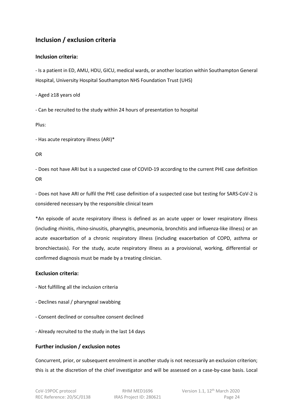## <span id="page-23-0"></span>**Inclusion / exclusion criteria**

### <span id="page-23-1"></span>**Inclusion criteria:**

- Is a patient in ED, AMU, HDU, GICU, medical wards, or another location within Southampton General Hospital, University Hospital Southampton NHS Foundation Trust (UHS)

- Aged ≥18 years old

- Can be recruited to the study within 24 hours of presentation to hospital

Plus:

- Has acute respiratory illness (ARI)\*

OR

- Does not have ARI but is a suspected case of COVID-19 according to the current PHE case definition OR

- Does not have ARI or fulfil the PHE case definition of a suspected case but testing for SARS-CoV-2 is considered necessary by the responsible clinical team

\*An episode of acute respiratory illness is defined as an acute upper or lower respiratory illness (including rhinitis, rhino-sinusitis, pharyngitis, pneumonia, bronchitis and influenza-like illness) or an acute exacerbation of a chronic respiratory illness (including exacerbation of COPD, asthma or bronchiectasis). For the study, acute respiratory illness as a provisional, working, differential or confirmed diagnosis must be made by a treating clinician.

### <span id="page-23-2"></span>**Exclusion criteria:**

- Not fulfilling all the inclusion criteria
- Declines nasal / pharyngeal swabbing
- Consent declined or consultee consent declined
- Already recruited to the study in the last 14 days

### <span id="page-23-3"></span>**Further inclusion / exclusion notes**

Concurrent, prior, or subsequent enrolment in another study is not necessarily an exclusion criterion; this is at the discretion of the chief investigator and will be assessed on a case-by-case basis. Local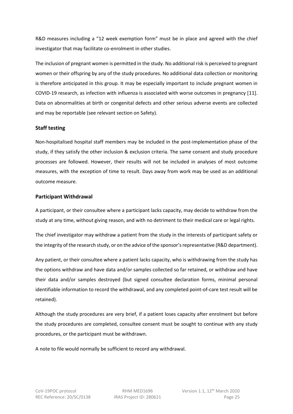R&D measures including a "12 week exemption form" must be in place and agreed with the chief investigator that may facilitate co-enrolment in other studies.

The inclusion of pregnant women is permitted in the study. No additional risk is perceived to pregnant women or their offspring by any of the study procedures. No additional data collection or monitoring is therefore anticipated in this group. It may be especially important to include pregnant women in COVID-19 research, as infection with influenza is associated with worse outcomes in pregnancy [[11](#page-3-12)]. Data on abnormalities at birth or congenital defects and other serious adverse events are collected and may be reportable (see relevant section on [Safety\)](#page-31-0).

### <span id="page-24-0"></span>**Staff testing**

Non-hospitalised hospital staff members may be included in the post-implementation phase of the study, if they satisfy the other inclusion & exclusion criteria. The same consent and study procedure processes are followed. However, their results will not be included in analyses of most outcome measures, with the exception of time to result. Days away from work may be used as an additional outcome measure.

### <span id="page-24-1"></span>**Participant Withdrawal**

A participant, or their consultee where a participant lacks capacity, may decide to withdraw from the study at any time, without giving reason, and with no detriment to their medical care or legal rights.

The chief investigator may withdraw a patient from the study in the interests of participant safety or the integrity of the research study, or on the advice of the sponsor's representative (R&D department).

Any patient, or their consultee where a patient lacks capacity, who is withdrawing from the study has the options withdraw and have data and/or samples collected so far retained, or withdraw and have their data and/or samples destroyed (but signed consultee declaration forms, minimal personal identifiable information to record the withdrawal, and any completed point-of-care test result will be retained).

Although the study procedures are very brief, if a patient loses capacity after enrolment but before the study procedures are completed, consultee consent must be sought to continue with any study procedures, or the participant must be withdrawn.

A note to file would normally be sufficient to record any withdrawal.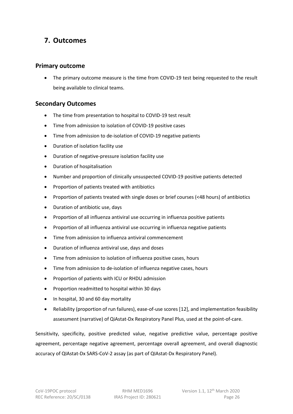# <span id="page-25-0"></span>**7. Outcomes**

### <span id="page-25-1"></span>**Primary outcome**

• The primary outcome measure is the time from COVID-19 test being requested to the result being available to clinical teams.

## <span id="page-25-2"></span>**Secondary Outcomes**

- The time from presentation to hospital to COVID-19 test result
- Time from admission to isolation of COVID-19 positive cases
- Time from admission to de-isolation of COVID-19 negative patients
- Duration of isolation facility use
- Duration of negative-pressure isolation facility use
- Duration of hospitalisation
- Number and proportion of clinically unsuspected COVID-19 positive patients detected
- Proportion of patients treated with antibiotics
- Proportion of patients treated with single doses or brief courses (<48 hours) of antibiotics
- Duration of antibiotic use, days
- Proportion of all influenza antiviral use occurring in influenza positive patients
- Proportion of all influenza antiviral use occurring in influenza negative patients
- Time from admission to influenza antiviral commencement
- Duration of influenza antiviral use, days and doses
- Time from admission to isolation of influenza positive cases, hours
- Time from admission to de-isolation of influenza negative cases, hours
- Proportion of patients with ICU or RHDU admission
- Proportion readmitted to hospital within 30 days
- In hospital, 30 and 60 day mortality
- Reliability (proportion of run failures), ease-of-use scores [[12\]](#page-3-13), and implementation feasibility assessment (narrative) of QiAstat-Dx Respiratory Panel Plus, used at the point-of-care.

Sensitivity, specificity, positive predicted value, negative predictive value, percentage positive agreement, percentage negative agreement, percentage overall agreement, and overall diagnostic accuracy of QIAstat-Dx SARS-CoV-2 assay (as part of QIAstat-Dx Respiratory Panel).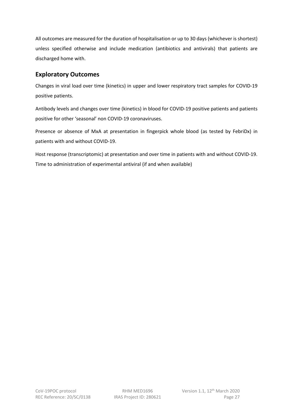All outcomes are measured for the duration of hospitalisation or up to 30 days (whichever is shortest) unless specified otherwise and include medication (antibiotics and antivirals) that patients are discharged home with.

## <span id="page-26-0"></span>**Exploratory Outcomes**

Changes in viral load over time (kinetics) in upper and lower respiratory tract samples for COVID-19 positive patients.

Antibody levels and changes over time (kinetics) in blood for COVID-19 positive patients and patients positive for other 'seasonal' non COVID-19 coronaviruses.

Presence or absence of MxA at presentation in fingerpick whole blood (as tested by FebriDx) in patients with and without COVID-19.

Host response (transcriptomic) at presentation and over time in patients with and without COVID-19. Time to administration of experimental antiviral (if and when available)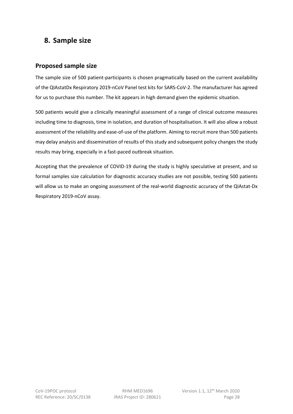## <span id="page-27-0"></span>**8. Sample size**

### <span id="page-27-1"></span>**Proposed sample size**

The sample size of 500 patient-participants is chosen pragmatically based on the current availability of the QIAstatDx Respiratory 2019-nCoV Panel test kits for SARS-CoV-2. The manufacturer has agreed for us to purchase this number. The kit appears in high demand given the epidemic situation.

500 patients would give a clinically meaningful assessment of a range of clinical outcome measures including time to diagnosis, time in isolation, and duration of hospitalisation. It will also allow a robust assessment of the reliability and ease-of-use of the platform. Aiming to recruit more than 500 patients may delay analysis and dissemination of results of this study and subsequent policy changes the study results may bring, especially in a fast-paced outbreak situation.

Accepting that the prevalence of COVID-19 during the study is highly speculative at present, and so formal samples size calculation for diagnostic accuracy studies are not possible, testing 500 patients will allow us to make an ongoing assessment of the real-world diagnostic accuracy of the QIAstat-Dx Respiratory 2019-nCoV assay.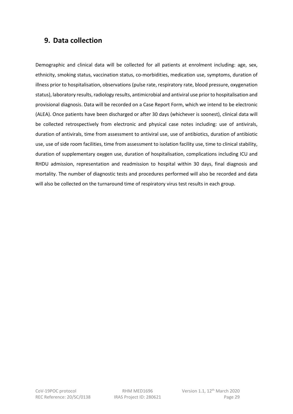## <span id="page-28-0"></span>**9. Data collection**

Demographic and clinical data will be collected for all patients at enrolment including: age, sex, ethnicity, smoking status, vaccination status, co-morbidities, medication use, symptoms, duration of illness prior to hospitalisation, observations (pulse rate, respiratory rate, blood pressure, oxygenation status), laboratory results, radiology results, antimicrobial and antiviral use prior to hospitalisation and provisional diagnosis. Data will be recorded on a Case Report Form, which we intend to be electronic (ALEA). Once patients have been discharged or after 30 days (whichever is soonest), clinical data will be collected retrospectively from electronic and physical case notes including: use of antivirals, duration of antivirals, time from assessment to antiviral use, use of antibiotics, duration of antibiotic use, use of side room facilities, time from assessment to isolation facility use, time to clinical stability, duration of supplementary oxygen use, duration of hospitalisation, complications including ICU and RHDU admission, representation and readmission to hospital within 30 days, final diagnosis and mortality. The number of diagnostic tests and procedures performed will also be recorded and data will also be collected on the turnaround time of respiratory virus test results in each group.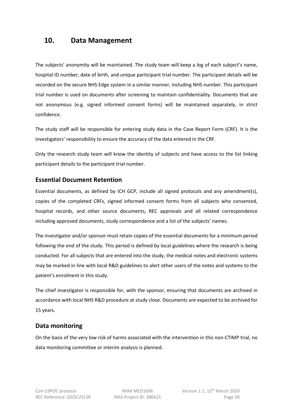## <span id="page-29-0"></span>**10. Data Management**

The subjects' anonymity will be maintained. The study team will keep a log of each subject's name, hospital ID number, date of birth, and unique participant trial number. The participant details will be recorded on the secure NHS Edge system in a similar manner, including NHS number. This participant trial number is used on documents after screening to maintain confidentiality. Documents that are not anonymous (e.g. signed informed consent forms) will be maintained separately, in strict confidence.

The study staff will be responsible for entering study data in the Case Report Form (CRF). It is the investigators' responsibility to ensure the accuracy of the data entered in the CRF.

Only the research study team will know the identity of subjects and have access to the list linking participant details to the participant trial number.

## <span id="page-29-1"></span>**Essential Document Retention**

Essential documents, as defined by ICH GCP, include all signed protocols and any amendment(s), copies of the completed CRFs, signed informed consent forms from all subjects who consented, hospital records, and other source documents, REC approvals and all related correspondence including approved documents, study correspondence and a list of the subjects' names.

The investigator and/or sponsor must retain copies of the essential documents for a minimum period following the end of the study. This period is defined by local guidelines where the research is being conducted. For all subjects that are entered into the study, the medical notes and electronic systems may be marked in line with local R&D guidelines to alert other users of the notes and systems to the patient's enrolment in this study.

The chief investigator is responsible for, with the sponsor, ensuring that documents are archived in accordance with local NHS R&D procedure at study close. Documents are expected to be archived for 15 years.

## **Data monitoring**

On the basis of the very low risk of harms associated with the intervention in this non-CTIMP trial, no data monitoring committee or interim analysis is planned.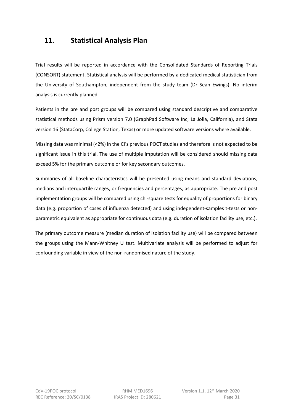## <span id="page-30-0"></span>**11. Statistical Analysis Plan**

Trial results will be reported in accordance with the Consolidated Standards of Reporting Trials (CONSORT) statement. Statistical analysis will be performed by a dedicated medical statistician from the University of Southampton, independent from the study team (Dr Sean Ewings). No interim analysis is currently planned.

Patients in the pre and post groups will be compared using standard descriptive and comparative statistical methods using Prism version 7.0 (GraphPad Software Inc; La Jolla, California), and Stata version 16 (StataCorp, College Station, Texas) or more updated software versions where available.

Missing data was minimal (<2%) in the CI's previous POCT studies and therefore is not expected to be significant issue in this trial. The use of multiple imputation will be considered should missing data exceed 5% for the primary outcome or for key secondary outcomes.

Summaries of all baseline characteristics will be presented using means and standard deviations, medians and interquartile ranges, or frequencies and percentages, as appropriate. The pre and post implementation groups will be compared using chi-square tests for equality of proportions for binary data (e.g. proportion of cases of influenza detected) and using independent-samples t-tests or nonparametric equivalent as appropriate for continuous data (e.g. duration of isolation facility use, etc.).

The primary outcome measure (median duration of isolation facility use) will be compared between the groups using the Mann-Whitney U test. Multivariate analysis will be performed to adjust for confounding variable in view of the non-randomised nature of the study.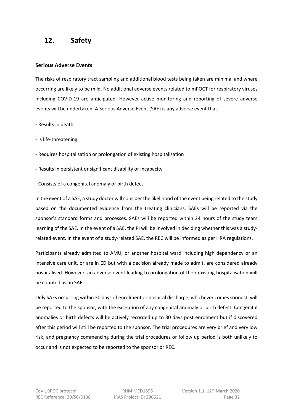## <span id="page-31-0"></span>**12. Safety**

#### <span id="page-31-1"></span>**Serious Adverse Events**

The risks of respiratory tract sampling and additional blood tests being taken are minimal and where occurring are likely to be mild. No additional adverse events related to mPOCT for respiratory viruses including COVID-19 are anticipated. However active monitoring and reporting of severe adverse events will be undertaken. A Serious Adverse Event (SAE) is any adverse event that:

- Results in death

- Is life-threatening

- Requires hospitalisation or prolongation of existing hospitalisation
- Results in persistent or significant disability or incapacity
- Consists of a congenital anomaly or birth defect

In the event of a SAE, a study doctor will consider the likelihood of the event being related to the study based on the documented evidence from the treating clinicians. SAEs will be reported via the sponsor's standard forms and processes. SAEs will be reported within 24 hours of the study team learning of the SAE. In the event of a SAE, the PI will be involved in deciding whether this was a studyrelated event. In the event of a study-related SAE, the REC will be informed as per HRA regulations.

Participants already admitted to AMU, or another hospital ward including high dependency or an intensive care unit, or are in ED but with a decision already made to admit, are considered already hospitalised. However, an adverse event leading to prolongation of their existing hospitalisation will be counted as an SAE.

Only SAEs occurring within 30 days of enrolment or hospital discharge, whichever comes soonest, will be reported to the sponsor, with the exception of any congenital anomaly or birth defect. Congenital anomalies or birth defects will be actively recorded up to 30 days post enrolment but if discovered after this period will still be reported to the sponsor. The trial procedures are very brief and very low risk, and pregnancy commencing during the trial procedures or follow up period is both unlikely to occur and is not expected to be reported to the sponsor or REC.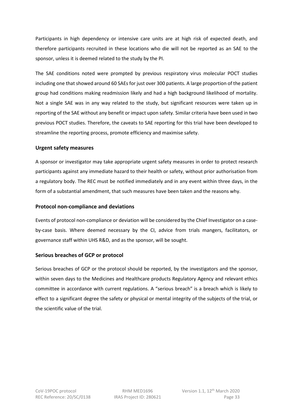Participants in high dependency or intensive care units are at high risk of expected death, and therefore participants recruited in these locations who die will not be reported as an SAE to the sponsor, unless it is deemed related to the study by the PI.

The SAE conditions noted were prompted by previous respiratory virus molecular POCT studies including one that showed around 60 SAEs for just over 300 patients. A large proportion of the patient group had conditions making readmission likely and had a high background likelihood of mortality. Not a single SAE was in any way related to the study, but significant resources were taken up in reporting of the SAE without any benefit or impact upon safety. Similar criteria have been used in two previous POCT studies. Therefore, the caveats to SAE reporting for this trial have been developed to streamline the reporting process, promote efficiency and maximise safety.

#### <span id="page-32-0"></span>**Urgent safety measures**

A sponsor or investigator may take appropriate urgent safety measures in order to protect research participants against any immediate hazard to their health or safety, without prior authorisation from a regulatory body. The REC must be notified immediately and in any event within three days, in the form of a substantial amendment, that such measures have been taken and the reasons why.

#### <span id="page-32-1"></span>**Protocol non-compliance and deviations**

Events of protocol non-compliance or deviation will be considered by the Chief Investigator on a caseby-case basis. Where deemed necessary by the CI, advice from trials mangers, facilitators, or governance staff within UHS R&D, and as the sponsor, will be sought.

### <span id="page-32-2"></span>**Serious breaches of GCP or protocol**

Serious breaches of GCP or the protocol should be reported, by the investigators and the sponsor, within seven days to the Medicines and Healthcare products Regulatory Agency and relevant ethics committee in accordance with current regulations. A "serious breach" is a breach which is likely to effect to a significant degree the safety or physical or mental integrity of the subjects of the trial, or the scientific value of the trial.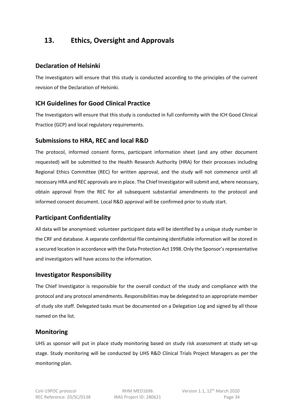# <span id="page-33-0"></span>**13. Ethics, Oversight and Approvals**

### <span id="page-33-1"></span>**Declaration of Helsinki**

The Investigators will ensure that this study is conducted according to the principles of the current revision of the Declaration of Helsinki.

## <span id="page-33-2"></span>**ICH Guidelines for Good Clinical Practice**

The Investigators will ensure that this study is conducted in full conformity with the ICH Good Clinical Practice (GCP) and local regulatory requirements.

## <span id="page-33-3"></span>**Submissions to HRA, REC and local R&D**

The protocol, informed consent forms, participant information sheet (and any other document requested) will be submitted to the Health Research Authority (HRA) for their processes including Regional Ethics Committee (REC) for written approval, and the study will not commence until all necessary HRA and REC approvals are in place. The Chief Investigator will submit and, where necessary, obtain approval from the REC for all subsequent substantial amendments to the protocol and informed consent document. Local R&D approval will be confirmed prior to study start.

## <span id="page-33-4"></span>**Participant Confidentiality**

All data will be anonymised: volunteer participant data will be identified by a unique study number in the CRF and database. A separate confidential file containing identifiable information will be stored in a secured location in accordance with the Data Protection Act 1998. Only the Sponsor's representative and investigators will have access to the information.

## <span id="page-33-5"></span>**Investigator Responsibility**

The Chief Investigator is responsible for the overall conduct of the study and compliance with the protocol and any protocol amendments. Responsibilities may be delegated to an appropriate member of study site staff. Delegated tasks must be documented on a Delegation Log and signed by all those named on the list.

## <span id="page-33-6"></span>**Monitoring**

UHS as sponsor will put in place study monitoring based on study risk assessment at study set-up stage. Study monitoring will be conducted by UHS R&D Clinical Trials Project Managers as per the monitoring plan.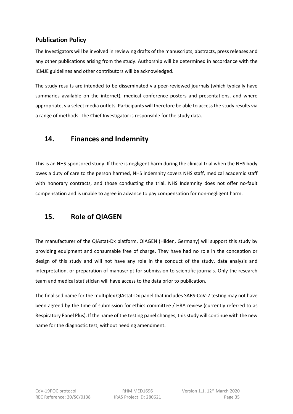## <span id="page-34-0"></span>**Publication Policy**

The Investigators will be involved in reviewing drafts of the manuscripts, abstracts, press releases and any other publications arising from the study. Authorship will be determined in accordance with the ICMJE guidelines and other contributors will be acknowledged.

The study results are intended to be disseminated via peer-reviewed journals (which typically have summaries available on the internet), medical conference posters and presentations, and where appropriate, via select media outlets. Participants will therefore be able to access the study results via a range of methods. The Chief Investigator is responsible for the study data.

# <span id="page-34-1"></span>**14. Finances and Indemnity**

This is an NHS-sponsored study. If there is negligent harm during the clinical trial when the NHS body owes a duty of care to the person harmed, NHS indemnity covers NHS staff, medical academic staff with honorary contracts, and those conducting the trial. NHS Indemnity does not offer no-fault compensation and is unable to agree in advance to pay compensation for non-negligent harm.

# <span id="page-34-2"></span>**15. Role of QIAGEN**

The manufacturer of the QIAstat-Dx platform, QIAGEN (Hilden, Germany) will support this study by providing equipment and consumable free of charge. They have had no role in the conception or design of this study and will not have any role in the conduct of the study, data analysis and interpretation, or preparation of manuscript for submission to scientific journals. Only the research team and medical statistician will have access to the data prior to publication.

The finalised name for the multiplex QIAstat-Dx panel that includes SARS-CoV-2 testing may not have been agreed by the time of submission for ethics committee / HRA review (currently referred to as Respiratory Panel Plus). If the name of the testing panel changes, this study will continue with the new name for the diagnostic test, without needing amendment.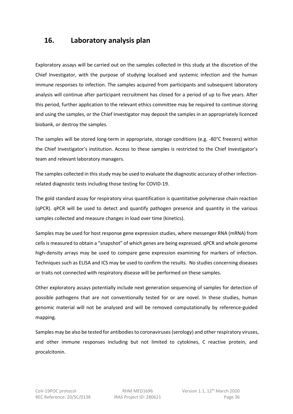## <span id="page-35-0"></span>**16. Laboratory analysis plan**

Exploratory assays will be carried out on the samples collected in this study at the discretion of the Chief Investigator, with the purpose of studying localised and systemic infection and the human immune responses to infection. The samples acquired from participants and subsequent laboratory analysis will continue after participant recruitment has closed for a period of up to five years. After this period, further application to the relevant ethics committee may be required to continue storing and using the samples, or the Chief Investigator may deposit the samples in an appropriately licenced biobank, or destroy the samples.

The samples will be stored long-term in appropriate, storage conditions (e.g. -80°C freezers) within the Chief Investigator's institution. Access to these samples is restricted to the Chief Investigator's team and relevant laboratory managers.

The samples collected in this study may be used to evaluate the diagnostic accuracy of other infectionrelated diagnostic tests including those testing for COVID-19.

The gold standard assay for respiratory virus quantification is quantitative polymerase chain reaction (qPCR). qPCR will be used to detect and quantify pathogen presence and quantity in the various samples collected and measure changes in load over time (kinetics).

Samples may be used for host response gene expression studies, where messenger RNA (mRNA) from cells is measured to obtain a "snapshot" of which genes are being expressed. qPCR and whole genome high-density arrays may be used to compare gene expression examining for markers of infection. Techniques such as ELISA and ICS may be used to confirm the results. No studies concerning diseases or traits not connected with respiratory disease will be performed on these samples.

Other exploratory assays potentially include next generation sequencing of samples for detection of possible pathogens that are not conventionally tested for or are novel. In these studies, human genomic material will not be analysed and will be removed computationally by reference-guided mapping.

Samples may be also be tested for antibodies to coronaviruses (serology) and other respiratory viruses, and other immune responses including but not limited to cytokines, C reactive protein, and procalcitonin.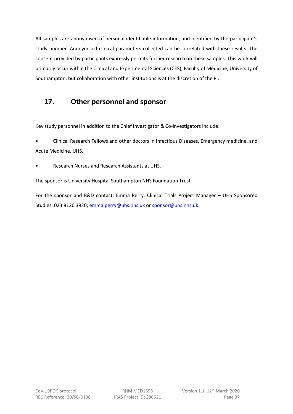All samples are anonymised of personal identifiable information, and identified by the participant's study number. Anonymised clinical parameters collected can be correlated with these results. The consent provided by participants expressly permits further research on these samples. This work will primarily occur within the Clinical and Experimental Sciences (CES), Faculty of Medicine, University of Southampton, but collaboration with other institutions is at the discretion of the PI.

# <span id="page-36-0"></span>**17. Other personnel and sponsor**

Key study personnel in addition to the Chief Investigator & Co-investigators include:

• Clinical Research Fellows and other doctors in Infectious Diseases, Emergency medicine, and Acute Medicine, UHS.

• Research Nurses and Research Assistants at UHS.

The sponsor is University Hospital Southampton NHS Foundation Trust.

For the sponsor and R&D contact: Emma Perry, Clinical Trials Project Manager – UHS Sponsored Studies. 023 8120 3920[; emma.perry@uhs.nhs.uk](mailto:emma.perry@uhs.nhs.uk) or [sponsor@uhs.nhs.uk.](mailto:sponsor@uhs.nhs.uk)